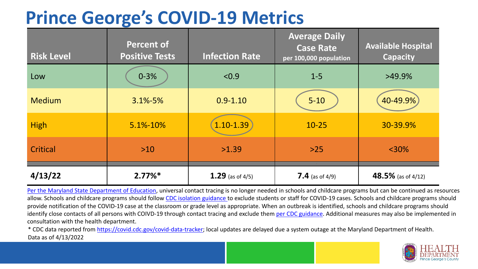## **Prince George's COVID-19 Metrics**

| <b>Risk Level</b> | <b>Percent of</b><br><b>Positive Tests</b> | <b>Infection Rate</b> | <b>Average Daily</b><br><b>Case Rate</b><br>per 100,000 population | <b>Available Hospital</b><br><b>Capacity</b> |
|-------------------|--------------------------------------------|-----------------------|--------------------------------------------------------------------|----------------------------------------------|
| Low               | $0 - 3%$                                   | < 0.9                 | $1 - 5$                                                            | $>49.9\%$                                    |
| <b>Medium</b>     | $3.1\% - 5\%$                              | $0.9 - 1.10$          | $5 - 10$                                                           | 40-49.9%                                     |
| <b>High</b>       | 5.1%-10%                                   | 1.10-1.39             | $10 - 25$                                                          | 30-39.9%                                     |
| Critical          | $>10$                                      | >1.39                 | $>25$                                                              | $<$ 30%                                      |
| 4/13/22           | $2.77\%*$                                  | 1.29 (as of $4/5$ )   | <b>7.4</b> (as of 4/9)                                             | 48.5% (as of 4/12)                           |

[Per the Maryland State Department of Education,](https://earlychildhood.marylandpublicschools.org/system/files/filedepot/3/covid_guidance_full_080420.pdf) universal contact tracing is no longer needed in schools and childcare programs but can be continued as resources allow. Schools and childcare programs should follow [CDC isolation guidance t](https://www.cdc.gov/coronavirus/2019-ncov/community/schools-childcare/k-12-contact-tracing/about-isolation.html)o exclude students or staff for COVID-19 cases. Schools and childcare programs should provide notification of the COVID-19 case at the classroom or grade level as appropriate. When an outbreak is identified, schools and childcare programs should identify close contacts of all persons with COIVD-19 through contact tracing and exclude them [per CDC guidance](https://www.cdc.gov/coronavirus/2019-ncov/your-health/quarantine-isolation.html). Additional measures may also be implemented in consultation with the health department.

\* CDC data reported from [https://covid.cdc.gov/covid-data-tracker;](https://covid.cdc.gov/covid-data-tracker) local updates are delayed due a system outage at the Maryland Department of Health. Data as of 4/13/2022

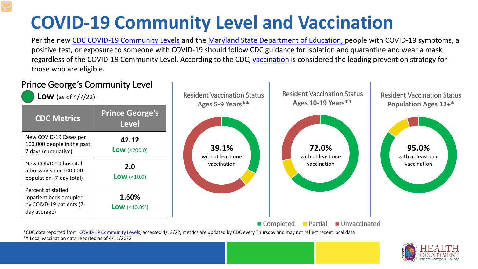# **COVID-19 Community Level and Vaccination**

Per the new [CDC COVID-19 Community Levels](https://www.cdc.gov/coronavirus/2019-ncov/science/community-levels.html#anchor_82254) and the [Maryland State Department of Education, p](https://earlychildhood.marylandpublicschools.org/system/files/filedepot/3/covid_guidance_full_080420.pdf)eople with COVID-19 symptoms, a positive test, or exposure to someone with COVID-19 should follow CDC guidance for isolation and quarantine and wear a mask regardless of the COVID-19 Community Level. According to the CDC, [vaccination](https://www.cdc.gov/coronavirus/2019-ncov/prevent-getting-sick/prevention.html) is considered the leading prevention strategy for those who are eligible.



\*\* Local vaccination data reported as of 4/11/2022

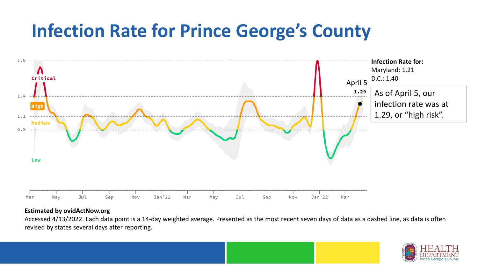## **Infection Rate for Prince George's County**



#### **Estimated by ovidActNow.org**

Accessed 4/13/2022. Each data point is a 14-day weighted average. Presented as the most recent seven days of data as a dashed line, as data is often revised by states several days after reporting.

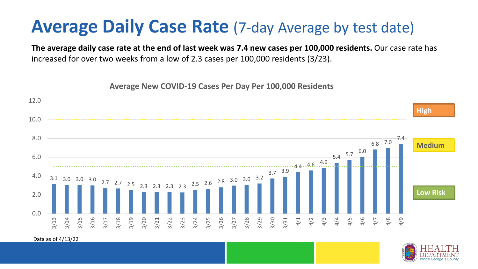### **Average Daily Case Rate** (7-day Average by test date)

**The average daily case rate at the end of last week was 7.4 new cases per 100,000 residents.** Our case rate has increased for over two weeks from a low of 2.3 cases per 100,000 residents (3/23).

**Average New COVID-19 Cases Per Day Per 100,000 Residents**



Data as of 4/13/22